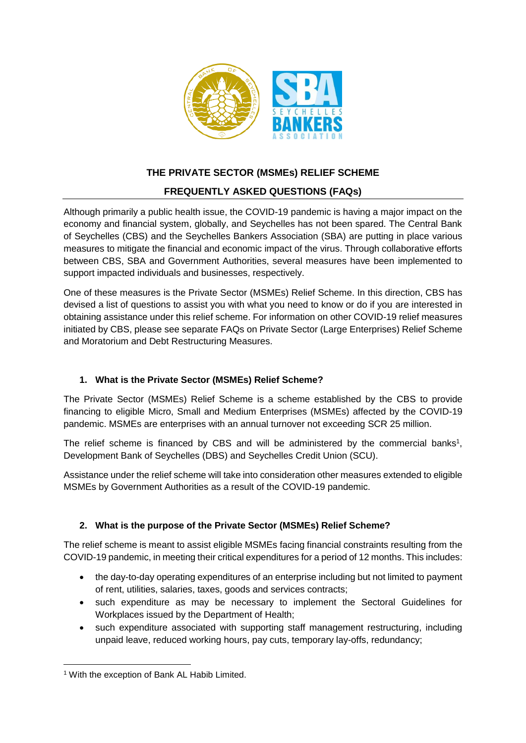

# **THE PRIVATE SECTOR (MSMEs) RELIEF SCHEME**

# **FREQUENTLY ASKED QUESTIONS (FAQs)**

Although primarily a public health issue, the COVID-19 pandemic is having a major impact on the economy and financial system, globally, and Seychelles has not been spared. The Central Bank of Seychelles (CBS) and the Seychelles Bankers Association (SBA) are putting in place various measures to mitigate the financial and economic impact of the virus. Through collaborative efforts between CBS, SBA and Government Authorities, several measures have been implemented to support impacted individuals and businesses, respectively.

One of these measures is the Private Sector (MSMEs) Relief Scheme. In this direction, CBS has devised a list of questions to assist you with what you need to know or do if you are interested in obtaining assistance under this relief scheme. For information on other COVID-19 relief measures initiated by CBS, please see separate FAQs on Private Sector (Large Enterprises) Relief Scheme and Moratorium and Debt Restructuring Measures.

## **1. What is the Private Sector (MSMEs) Relief Scheme?**

The Private Sector (MSMEs) Relief Scheme is a scheme established by the CBS to provide financing to eligible Micro, Small and Medium Enterprises (MSMEs) affected by the COVID-19 pandemic. MSMEs are enterprises with an annual turnover not exceeding SCR 25 million.

The relief scheme is financed by CBS and will be administered by the commercial banks<sup>1</sup>, Development Bank of Seychelles (DBS) and Seychelles Credit Union (SCU).

Assistance under the relief scheme will take into consideration other measures extended to eligible MSMEs by Government Authorities as a result of the COVID-19 pandemic.

# **2. What is the purpose of the Private Sector (MSMEs) Relief Scheme?**

The relief scheme is meant to assist eligible MSMEs facing financial constraints resulting from the COVID-19 pandemic, in meeting their critical expenditures for a period of 12 months. This includes:

- the day-to-day operating expenditures of an enterprise including but not limited to payment of rent, utilities, salaries, taxes, goods and services contracts;
- such expenditure as may be necessary to implement the Sectoral Guidelines for Workplaces issued by the Department of Health;
- such expenditure associated with supporting staff management restructuring, including unpaid leave, reduced working hours, pay cuts, temporary lay-offs, redundancy;

**<sup>.</sup>** <sup>1</sup> With the exception of Bank AL Habib Limited.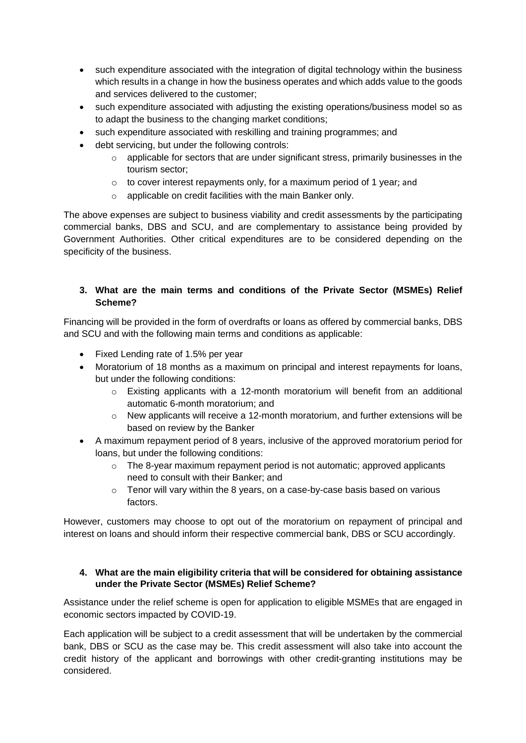- such expenditure associated with the integration of digital technology within the business which results in a change in how the business operates and which adds value to the goods and services delivered to the customer;
- such expenditure associated with adjusting the existing operations/business model so as to adapt the business to the changing market conditions;
- such expenditure associated with reskilling and training programmes; and
- debt servicing, but under the following controls:
	- $\circ$  applicable for sectors that are under significant stress, primarily businesses in the tourism sector;
	- o to cover interest repayments only, for a maximum period of 1 year; and
	- o applicable on credit facilities with the main Banker only.

The above expenses are subject to business viability and credit assessments by the participating commercial banks, DBS and SCU, and are complementary to assistance being provided by Government Authorities. Other critical expenditures are to be considered depending on the specificity of the business.

## **3. What are the main terms and conditions of the Private Sector (MSMEs) Relief Scheme?**

Financing will be provided in the form of overdrafts or loans as offered by commercial banks, DBS and SCU and with the following main terms and conditions as applicable:

- Fixed Lending rate of 1.5% per year
- Moratorium of 18 months as a maximum on principal and interest repayments for loans, but under the following conditions:
	- o Existing applicants with a 12-month moratorium will benefit from an additional automatic 6-month moratorium; and
	- $\circ$  New applicants will receive a 12-month moratorium, and further extensions will be based on review by the Banker
- A maximum repayment period of 8 years, inclusive of the approved moratorium period for loans, but under the following conditions:
	- $\circ$  The 8-year maximum repayment period is not automatic; approved applicants need to consult with their Banker; and
	- $\circ$  Tenor will vary within the 8 years, on a case-by-case basis based on various factors.

However, customers may choose to opt out of the moratorium on repayment of principal and interest on loans and should inform their respective commercial bank, DBS or SCU accordingly.

#### **4. What are the main eligibility criteria that will be considered for obtaining assistance under the Private Sector (MSMEs) Relief Scheme?**

Assistance under the relief scheme is open for application to eligible MSMEs that are engaged in economic sectors impacted by COVID-19.

Each application will be subject to a credit assessment that will be undertaken by the commercial bank, DBS or SCU as the case may be. This credit assessment will also take into account the credit history of the applicant and borrowings with other credit-granting institutions may be considered.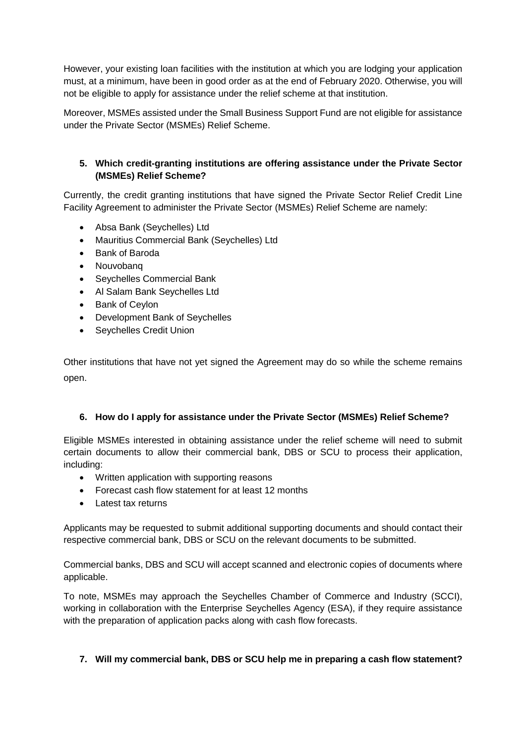However, your existing loan facilities with the institution at which you are lodging your application must, at a minimum, have been in good order as at the end of February 2020. Otherwise, you will not be eligible to apply for assistance under the relief scheme at that institution.

Moreover, MSMEs assisted under the Small Business Support Fund are not eligible for assistance under the Private Sector (MSMEs) Relief Scheme.

## **5. Which credit-granting institutions are offering assistance under the Private Sector (MSMEs) Relief Scheme?**

Currently, the credit granting institutions that have signed the Private Sector Relief Credit Line Facility Agreement to administer the Private Sector (MSMEs) Relief Scheme are namely:

- Absa Bank (Seychelles) Ltd
- Mauritius Commercial Bank (Seychelles) Ltd
- Bank of Baroda
- Nouvobang
- Seychelles Commercial Bank
- Al Salam Bank Seychelles Ltd
- Bank of Ceylon
- Development Bank of Seychelles
- Seychelles Credit Union

Other institutions that have not yet signed the Agreement may do so while the scheme remains open.

#### **6. How do I apply for assistance under the Private Sector (MSMEs) Relief Scheme?**

Eligible MSMEs interested in obtaining assistance under the relief scheme will need to submit certain documents to allow their commercial bank, DBS or SCU to process their application, including:

- Written application with supporting reasons
- Forecast cash flow statement for at least 12 months
- Latest tax returns

Applicants may be requested to submit additional supporting documents and should contact their respective commercial bank, DBS or SCU on the relevant documents to be submitted.

Commercial banks, DBS and SCU will accept scanned and electronic copies of documents where applicable.

To note, MSMEs may approach the Seychelles Chamber of Commerce and Industry (SCCI), working in collaboration with the Enterprise Seychelles Agency (ESA), if they require assistance with the preparation of application packs along with cash flow forecasts.

#### **7. Will my commercial bank, DBS or SCU help me in preparing a cash flow statement?**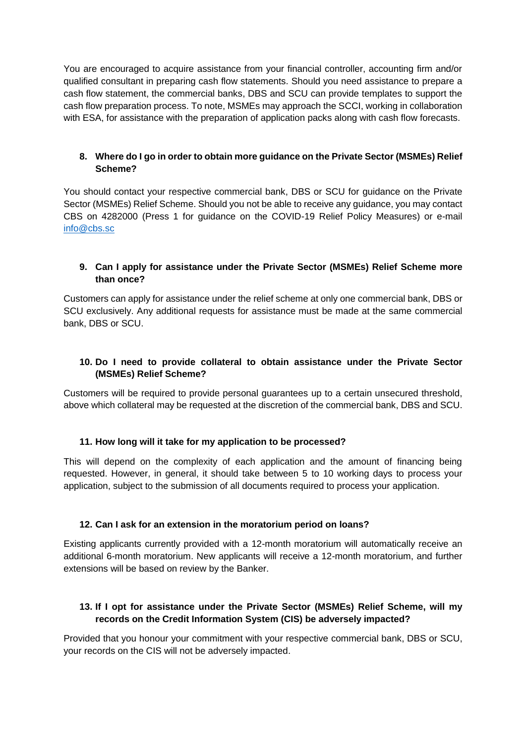You are encouraged to acquire assistance from your financial controller, accounting firm and/or qualified consultant in preparing cash flow statements. Should you need assistance to prepare a cash flow statement, the commercial banks, DBS and SCU can provide templates to support the cash flow preparation process. To note, MSMEs may approach the SCCI, working in collaboration with ESA, for assistance with the preparation of application packs along with cash flow forecasts.

#### **8. Where do I go in order to obtain more guidance on the Private Sector (MSMEs) Relief Scheme?**

You should contact your respective commercial bank, DBS or SCU for guidance on the Private Sector (MSMEs) Relief Scheme. Should you not be able to receive any guidance, you may contact CBS on 4282000 (Press 1 for guidance on the COVID-19 Relief Policy Measures) or e-mail [info@cbs.sc](mailto:info@cbs.sc)

#### **9. Can I apply for assistance under the Private Sector (MSMEs) Relief Scheme more than once?**

Customers can apply for assistance under the relief scheme at only one commercial bank, DBS or SCU exclusively. Any additional requests for assistance must be made at the same commercial bank, DBS or SCU.

#### **10. Do I need to provide collateral to obtain assistance under the Private Sector (MSMEs) Relief Scheme?**

Customers will be required to provide personal guarantees up to a certain unsecured threshold, above which collateral may be requested at the discretion of the commercial bank, DBS and SCU.

#### **11. How long will it take for my application to be processed?**

This will depend on the complexity of each application and the amount of financing being requested. However, in general, it should take between 5 to 10 working days to process your application, subject to the submission of all documents required to process your application.

#### **12. Can I ask for an extension in the moratorium period on loans?**

Existing applicants currently provided with a 12-month moratorium will automatically receive an additional 6-month moratorium. New applicants will receive a 12-month moratorium, and further extensions will be based on review by the Banker.

## **13. If I opt for assistance under the Private Sector (MSMEs) Relief Scheme, will my records on the Credit Information System (CIS) be adversely impacted?**

Provided that you honour your commitment with your respective commercial bank, DBS or SCU, your records on the CIS will not be adversely impacted.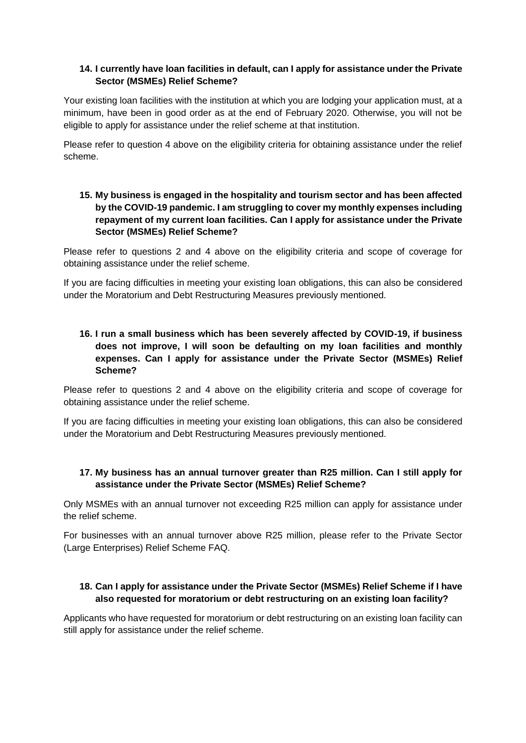## **14. I currently have loan facilities in default, can I apply for assistance under the Private Sector (MSMEs) Relief Scheme?**

Your existing loan facilities with the institution at which you are lodging your application must, at a minimum, have been in good order as at the end of February 2020. Otherwise, you will not be eligible to apply for assistance under the relief scheme at that institution.

Please refer to question 4 above on the eligibility criteria for obtaining assistance under the relief scheme.

## **15. My business is engaged in the hospitality and tourism sector and has been affected by the COVID-19 pandemic. I am struggling to cover my monthly expenses including repayment of my current loan facilities. Can I apply for assistance under the Private Sector (MSMEs) Relief Scheme?**

Please refer to questions 2 and 4 above on the eligibility criteria and scope of coverage for obtaining assistance under the relief scheme.

If you are facing difficulties in meeting your existing loan obligations, this can also be considered under the Moratorium and Debt Restructuring Measures previously mentioned.

## **16. I run a small business which has been severely affected by COVID-19, if business does not improve, I will soon be defaulting on my loan facilities and monthly expenses. Can I apply for assistance under the Private Sector (MSMEs) Relief Scheme?**

Please refer to questions 2 and 4 above on the eligibility criteria and scope of coverage for obtaining assistance under the relief scheme.

If you are facing difficulties in meeting your existing loan obligations, this can also be considered under the Moratorium and Debt Restructuring Measures previously mentioned.

## **17. My business has an annual turnover greater than R25 million. Can I still apply for assistance under the Private Sector (MSMEs) Relief Scheme?**

Only MSMEs with an annual turnover not exceeding R25 million can apply for assistance under the relief scheme.

For businesses with an annual turnover above R25 million, please refer to the Private Sector (Large Enterprises) Relief Scheme FAQ.

## **18. Can I apply for assistance under the Private Sector (MSMEs) Relief Scheme if I have also requested for moratorium or debt restructuring on an existing loan facility?**

Applicants who have requested for moratorium or debt restructuring on an existing loan facility can still apply for assistance under the relief scheme.